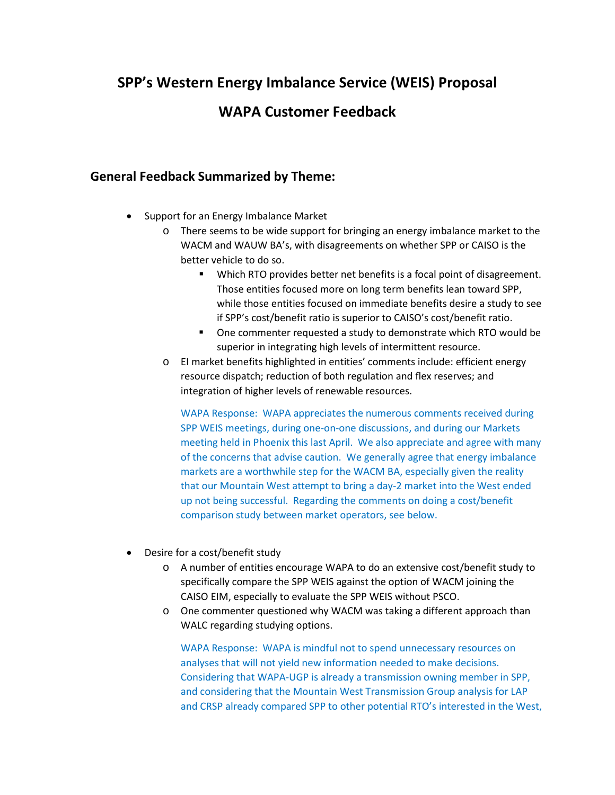# **SPP's Western Energy Imbalance Service (WEIS) Proposal**

## **WAPA Customer Feedback**

### **General Feedback Summarized by Theme:**

- Support for an Energy Imbalance Market
	- o There seems to be wide support for bringing an energy imbalance market to the WACM and WAUW BA's, with disagreements on whether SPP or CAISO is the better vehicle to do so.
		- **Which RTO provides better net benefits is a focal point of disagreement.** Those entities focused more on long term benefits lean toward SPP, while those entities focused on immediate benefits desire a study to see if SPP's cost/benefit ratio is superior to CAISO's cost/benefit ratio.
		- One commenter requested a study to demonstrate which RTO would be superior in integrating high levels of intermittent resource.
	- o EI market benefits highlighted in entities' comments include: efficient energy resource dispatch; reduction of both regulation and flex reserves; and integration of higher levels of renewable resources.

WAPA Response: WAPA appreciates the numerous comments received during SPP WEIS meetings, during one-on-one discussions, and during our Markets meeting held in Phoenix this last April. We also appreciate and agree with many of the concerns that advise caution. We generally agree that energy imbalance markets are a worthwhile step for the WACM BA, especially given the reality that our Mountain West attempt to bring a day-2 market into the West ended up not being successful. Regarding the comments on doing a cost/benefit comparison study between market operators, see below.

- Desire for a cost/benefit study
	- o A number of entities encourage WAPA to do an extensive cost/benefit study to specifically compare the SPP WEIS against the option of WACM joining the CAISO EIM, especially to evaluate the SPP WEIS without PSCO.
	- o One commenter questioned why WACM was taking a different approach than WALC regarding studying options.

WAPA Response: WAPA is mindful not to spend unnecessary resources on analyses that will not yield new information needed to make decisions. Considering that WAPA-UGP is already a transmission owning member in SPP, and considering that the Mountain West Transmission Group analysis for LAP and CRSP already compared SPP to other potential RTO's interested in the West,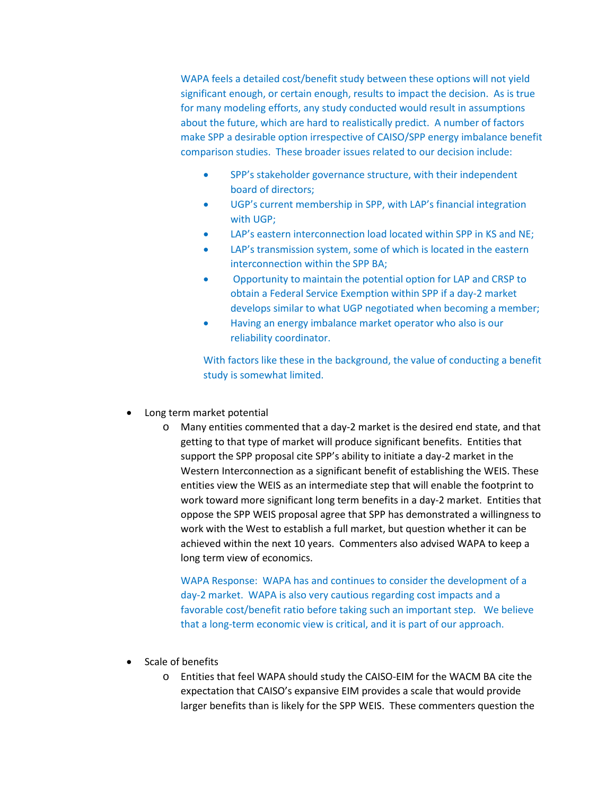WAPA feels a detailed cost/benefit study between these options will not yield significant enough, or certain enough, results to impact the decision. As is true for many modeling efforts, any study conducted would result in assumptions about the future, which are hard to realistically predict. A number of factors make SPP a desirable option irrespective of CAISO/SPP energy imbalance benefit comparison studies. These broader issues related to our decision include:

- SPP's stakeholder governance structure, with their independent board of directors;
- UGP's current membership in SPP, with LAP's financial integration with UGP;
- LAP's eastern interconnection load located within SPP in KS and NE;
- LAP's transmission system, some of which is located in the eastern interconnection within the SPP BA;
- Opportunity to maintain the potential option for LAP and CRSP to obtain a Federal Service Exemption within SPP if a day-2 market develops similar to what UGP negotiated when becoming a member;
- Having an energy imbalance market operator who also is our reliability coordinator.

With factors like these in the background, the value of conducting a benefit study is somewhat limited.

- Long term market potential
	- o Many entities commented that a day-2 market is the desired end state, and that getting to that type of market will produce significant benefits. Entities that support the SPP proposal cite SPP's ability to initiate a day-2 market in the Western Interconnection as a significant benefit of establishing the WEIS. These entities view the WEIS as an intermediate step that will enable the footprint to work toward more significant long term benefits in a day-2 market. Entities that oppose the SPP WEIS proposal agree that SPP has demonstrated a willingness to work with the West to establish a full market, but question whether it can be achieved within the next 10 years. Commenters also advised WAPA to keep a long term view of economics.

WAPA Response: WAPA has and continues to consider the development of a day-2 market. WAPA is also very cautious regarding cost impacts and a favorable cost/benefit ratio before taking such an important step. We believe that a long-term economic view is critical, and it is part of our approach.

- Scale of benefits
	- o Entities that feel WAPA should study the CAISO-EIM for the WACM BA cite the expectation that CAISO's expansive EIM provides a scale that would provide larger benefits than is likely for the SPP WEIS. These commenters question the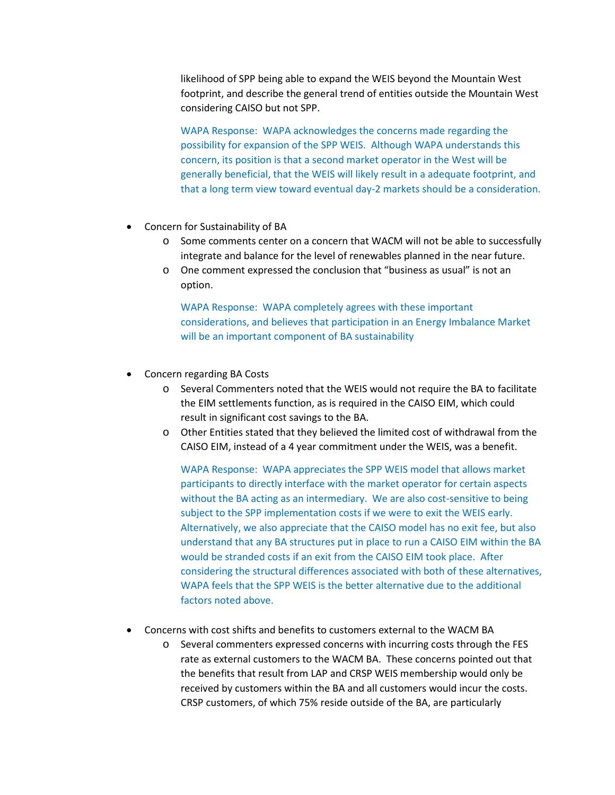likelihood of SPP being able to expand the WEIS beyond the Mountain West footprint, and describe the general trend of entities outside the Mountain West considering CAISO but not SPP.

WAPA Response: WAPA acknowledges the concerns made regarding the possibility for expansion of the SPP WEIS. Although WAPA understands this concern, its position is that a second market operator in the West will be generally beneficial, that the WEIS will likely result in a adequate footprint, and that a long term view toward eventual day-2 markets should be a consideration.

- Concern for Sustainability of BA
	- o Some comments center on a concern that WACM will not be able to successfully integrate and balance for the level of renewables planned in the near future.
	- o One comment expressed the conclusion that "business as usual" is not an option.

WAPA Response: WAPA completely agrees with these important considerations, and believes that participation in an Energy Imbalance Market will be an important component of BA sustainability

- Concern regarding BA Costs
	- o Several Commenters noted that the WEIS would not require the BA to facilitate the EIM settlements function, as is required in the CAISO EIM, which could result in significant cost savings to the BA.
	- o Other Entities stated that they believed the limited cost of withdrawal from the CAISO EIM, instead of a 4 year commitment under the WEIS, was a benefit.

WAPA Response: WAPA appreciates the SPP WEIS model that allows market participants to directly interface with the market operator for certain aspects without the BA acting as an intermediary. We are also cost-sensitive to being subject to the SPP implementation costs if we were to exit the WEIS early. Alternatively, we also appreciate that the CAISO model has no exit fee, but also understand that any BA structures put in place to run a CAISO EIM within the BA would be stranded costs if an exit from the CAISO EIM took place. After considering the structural differences associated with both of these alternatives, WAPA feels that the SPP WEIS is the better alternative due to the additional factors noted above.

- Concerns with cost shifts and benefits to customers external to the WACM BA
	- o Several commenters expressed concerns with incurring costs through the FES rate as external customers to the WACM BA. These concerns pointed out that the benefits that result from LAP and CRSP WEIS membership would only be received by customers within the BA and all customers would incur the costs. CRSP customers, of which 75% reside outside of the BA, are particularly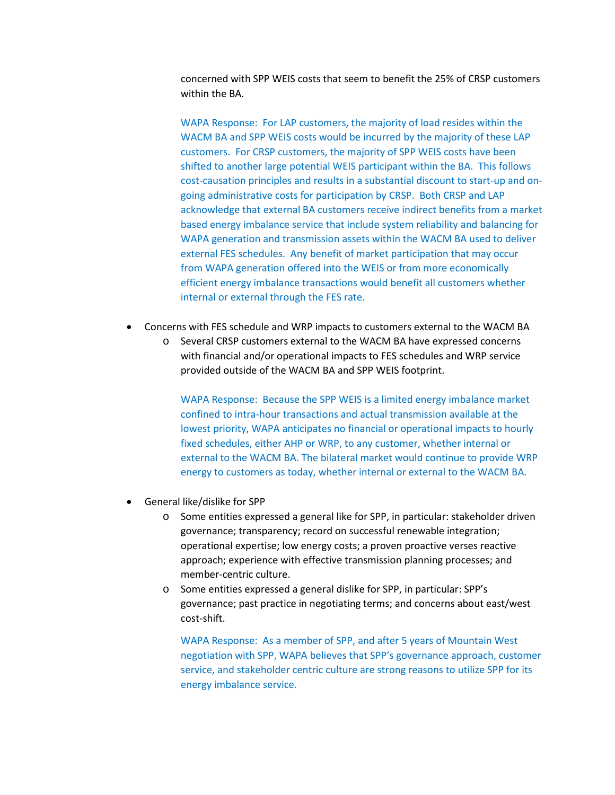concerned with SPP WEIS costs that seem to benefit the 25% of CRSP customers within the BA.

WAPA Response: For LAP customers, the majority of load resides within the WACM BA and SPP WEIS costs would be incurred by the majority of these LAP customers. For CRSP customers, the majority of SPP WEIS costs have been shifted to another large potential WEIS participant within the BA. This follows cost-causation principles and results in a substantial discount to start-up and ongoing administrative costs for participation by CRSP. Both CRSP and LAP acknowledge that external BA customers receive indirect benefits from a market based energy imbalance service that include system reliability and balancing for WAPA generation and transmission assets within the WACM BA used to deliver external FES schedules. Any benefit of market participation that may occur from WAPA generation offered into the WEIS or from more economically efficient energy imbalance transactions would benefit all customers whether internal or external through the FES rate.

- Concerns with FES schedule and WRP impacts to customers external to the WACM BA
	- o Several CRSP customers external to the WACM BA have expressed concerns with financial and/or operational impacts to FES schedules and WRP service provided outside of the WACM BA and SPP WEIS footprint.

WAPA Response: Because the SPP WEIS is a limited energy imbalance market confined to intra-hour transactions and actual transmission available at the lowest priority, WAPA anticipates no financial or operational impacts to hourly fixed schedules, either AHP or WRP, to any customer, whether internal or external to the WACM BA. The bilateral market would continue to provide WRP energy to customers as today, whether internal or external to the WACM BA.

- General like/dislike for SPP
	- o Some entities expressed a general like for SPP, in particular: stakeholder driven governance; transparency; record on successful renewable integration; operational expertise; low energy costs; a proven proactive verses reactive approach; experience with effective transmission planning processes; and member-centric culture.
	- o Some entities expressed a general dislike for SPP, in particular: SPP's governance; past practice in negotiating terms; and concerns about east/west cost-shift.

WAPA Response: As a member of SPP, and after 5 years of Mountain West negotiation with SPP, WAPA believes that SPP's governance approach, customer service, and stakeholder centric culture are strong reasons to utilize SPP for its energy imbalance service.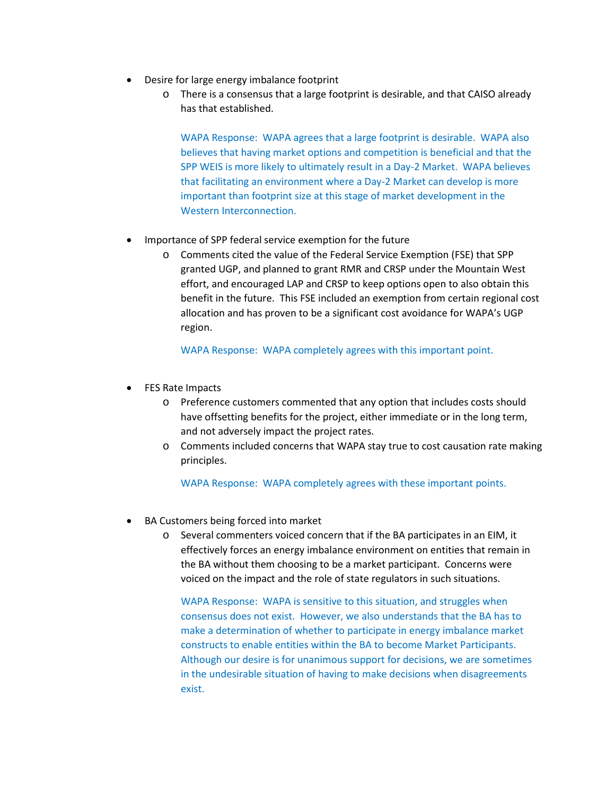- Desire for large energy imbalance footprint
	- o There is a consensus that a large footprint is desirable, and that CAISO already has that established.

WAPA Response: WAPA agrees that a large footprint is desirable. WAPA also believes that having market options and competition is beneficial and that the SPP WEIS is more likely to ultimately result in a Day-2 Market. WAPA believes that facilitating an environment where a Day-2 Market can develop is more important than footprint size at this stage of market development in the Western Interconnection.

- Importance of SPP federal service exemption for the future
	- o Comments cited the value of the Federal Service Exemption (FSE) that SPP granted UGP, and planned to grant RMR and CRSP under the Mountain West effort, and encouraged LAP and CRSP to keep options open to also obtain this benefit in the future. This FSE included an exemption from certain regional cost allocation and has proven to be a significant cost avoidance for WAPA's UGP region.

WAPA Response: WAPA completely agrees with this important point.

- FES Rate Impacts
	- o Preference customers commented that any option that includes costs should have offsetting benefits for the project, either immediate or in the long term, and not adversely impact the project rates.
	- o Comments included concerns that WAPA stay true to cost causation rate making principles.

WAPA Response: WAPA completely agrees with these important points.

- BA Customers being forced into market
	- o Several commenters voiced concern that if the BA participates in an EIM, it effectively forces an energy imbalance environment on entities that remain in the BA without them choosing to be a market participant. Concerns were voiced on the impact and the role of state regulators in such situations.

WAPA Response: WAPA is sensitive to this situation, and struggles when consensus does not exist. However, we also understands that the BA has to make a determination of whether to participate in energy imbalance market constructs to enable entities within the BA to become Market Participants. Although our desire is for unanimous support for decisions, we are sometimes in the undesirable situation of having to make decisions when disagreements exist.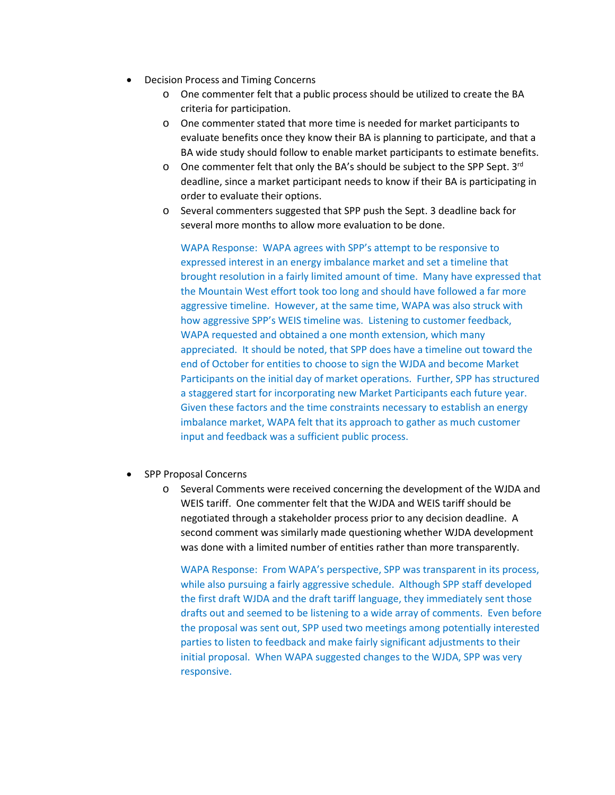- Decision Process and Timing Concerns
	- o One commenter felt that a public process should be utilized to create the BA criteria for participation.
	- o One commenter stated that more time is needed for market participants to evaluate benefits once they know their BA is planning to participate, and that a BA wide study should follow to enable market participants to estimate benefits.
	- $\circ$  One commenter felt that only the BA's should be subject to the SPP Sept. 3<sup>rd</sup> deadline, since a market participant needs to know if their BA is participating in order to evaluate their options.
	- o Several commenters suggested that SPP push the Sept. 3 deadline back for several more months to allow more evaluation to be done.

WAPA Response: WAPA agrees with SPP's attempt to be responsive to expressed interest in an energy imbalance market and set a timeline that brought resolution in a fairly limited amount of time. Many have expressed that the Mountain West effort took too long and should have followed a far more aggressive timeline. However, at the same time, WAPA was also struck with how aggressive SPP's WEIS timeline was. Listening to customer feedback, WAPA requested and obtained a one month extension, which many appreciated. It should be noted, that SPP does have a timeline out toward the end of October for entities to choose to sign the WJDA and become Market Participants on the initial day of market operations. Further, SPP has structured a staggered start for incorporating new Market Participants each future year. Given these factors and the time constraints necessary to establish an energy imbalance market, WAPA felt that its approach to gather as much customer input and feedback was a sufficient public process.

- SPP Proposal Concerns
	- o Several Comments were received concerning the development of the WJDA and WEIS tariff. One commenter felt that the WJDA and WEIS tariff should be negotiated through a stakeholder process prior to any decision deadline. A second comment was similarly made questioning whether WJDA development was done with a limited number of entities rather than more transparently.

WAPA Response: From WAPA's perspective, SPP was transparent in its process, while also pursuing a fairly aggressive schedule. Although SPP staff developed the first draft WJDA and the draft tariff language, they immediately sent those drafts out and seemed to be listening to a wide array of comments. Even before the proposal was sent out, SPP used two meetings among potentially interested parties to listen to feedback and make fairly significant adjustments to their initial proposal. When WAPA suggested changes to the WJDA, SPP was very responsive.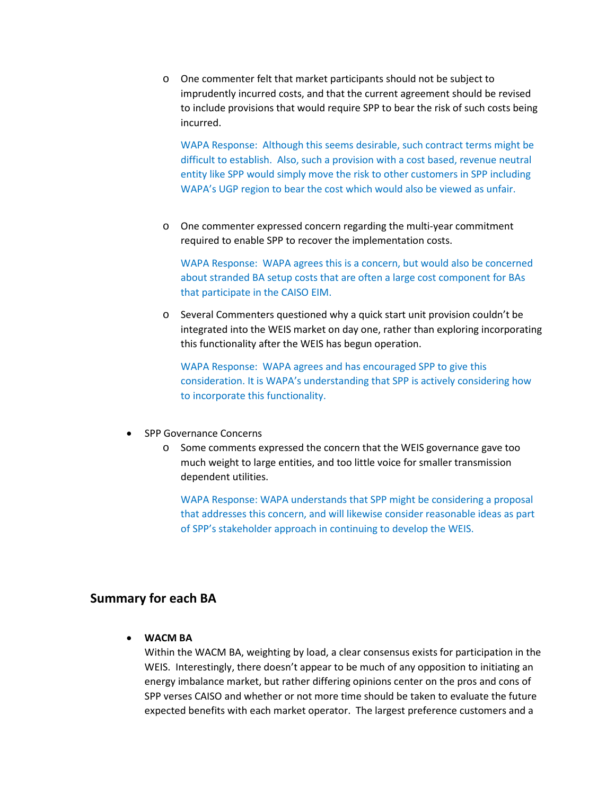o One commenter felt that market participants should not be subject to imprudently incurred costs, and that the current agreement should be revised to include provisions that would require SPP to bear the risk of such costs being incurred.

WAPA Response: Although this seems desirable, such contract terms might be difficult to establish. Also, such a provision with a cost based, revenue neutral entity like SPP would simply move the risk to other customers in SPP including WAPA's UGP region to bear the cost which would also be viewed as unfair.

o One commenter expressed concern regarding the multi-year commitment required to enable SPP to recover the implementation costs.

WAPA Response: WAPA agrees this is a concern, but would also be concerned about stranded BA setup costs that are often a large cost component for BAs that participate in the CAISO EIM.

o Several Commenters questioned why a quick start unit provision couldn't be integrated into the WEIS market on day one, rather than exploring incorporating this functionality after the WEIS has begun operation.

WAPA Response: WAPA agrees and has encouraged SPP to give this consideration. It is WAPA's understanding that SPP is actively considering how to incorporate this functionality.

- SPP Governance Concerns
	- o Some comments expressed the concern that the WEIS governance gave too much weight to large entities, and too little voice for smaller transmission dependent utilities.

WAPA Response: WAPA understands that SPP might be considering a proposal that addresses this concern, and will likewise consider reasonable ideas as part of SPP's stakeholder approach in continuing to develop the WEIS.

#### **Summary for each BA**

• **WACM BA**

Within the WACM BA, weighting by load, a clear consensus exists for participation in the WEIS. Interestingly, there doesn't appear to be much of any opposition to initiating an energy imbalance market, but rather differing opinions center on the pros and cons of SPP verses CAISO and whether or not more time should be taken to evaluate the future expected benefits with each market operator. The largest preference customers and a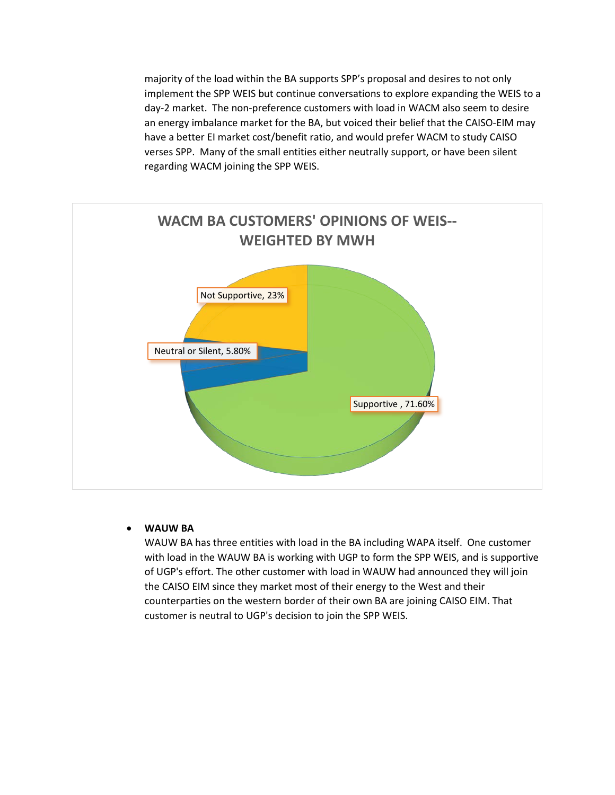majority of the load within the BA supports SPP's proposal and desires to not only implement the SPP WEIS but continue conversations to explore expanding the WEIS to a day-2 market. The non-preference customers with load in WACM also seem to desire an energy imbalance market for the BA, but voiced their belief that the CAISO-EIM may have a better EI market cost/benefit ratio, and would prefer WACM to study CAISO verses SPP. Many of the small entities either neutrally support, or have been silent regarding WACM joining the SPP WEIS.



#### • **WAUW BA**

WAUW BA has three entities with load in the BA including WAPA itself. One customer with load in the WAUW BA is working with UGP to form the SPP WEIS, and is supportive of UGP's effort. The other customer with load in WAUW had announced they will join the CAISO EIM since they market most of their energy to the West and their counterparties on the western border of their own BA are joining CAISO EIM. That customer is neutral to UGP's decision to join the SPP WEIS.